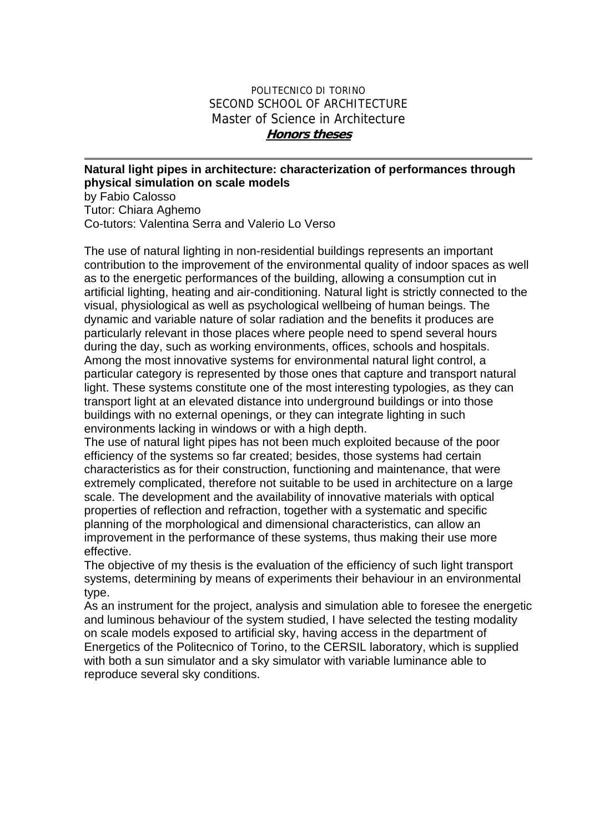## POLITECNICO DI TORINO SECOND SCHOOL OF ARCHITECTURE Master of Science in Architecture **Honors theses**

## **Natural light pipes in architecture: characterization of performances through physical simulation on scale models**

by Fabio Calosso Tutor: Chiara Aghemo Co-tutors: Valentina Serra and Valerio Lo Verso

The use of natural lighting in non-residential buildings represents an important contribution to the improvement of the environmental quality of indoor spaces as well as to the energetic performances of the building, allowing a consumption cut in artificial lighting, heating and air-conditioning. Natural light is strictly connected to the visual, physiological as well as psychological wellbeing of human beings. The dynamic and variable nature of solar radiation and the benefits it produces are particularly relevant in those places where people need to spend several hours during the day, such as working environments, offices, schools and hospitals. Among the most innovative systems for environmental natural light control, a particular category is represented by those ones that capture and transport natural light. These systems constitute one of the most interesting typologies, as they can transport light at an elevated distance into underground buildings or into those buildings with no external openings, or they can integrate lighting in such environments lacking in windows or with a high depth.

The use of natural light pipes has not been much exploited because of the poor efficiency of the systems so far created; besides, those systems had certain characteristics as for their construction, functioning and maintenance, that were extremely complicated, therefore not suitable to be used in architecture on a large scale. The development and the availability of innovative materials with optical properties of reflection and refraction, together with a systematic and specific planning of the morphological and dimensional characteristics, can allow an improvement in the performance of these systems, thus making their use more effective.

The objective of my thesis is the evaluation of the efficiency of such light transport systems, determining by means of experiments their behaviour in an environmental type.

As an instrument for the project, analysis and simulation able to foresee the energetic and luminous behaviour of the system studied, I have selected the testing modality on scale models exposed to artificial sky, having access in the department of Energetics of the Politecnico of Torino, to the CERSIL laboratory, which is supplied with both a sun simulator and a sky simulator with variable luminance able to reproduce several sky conditions.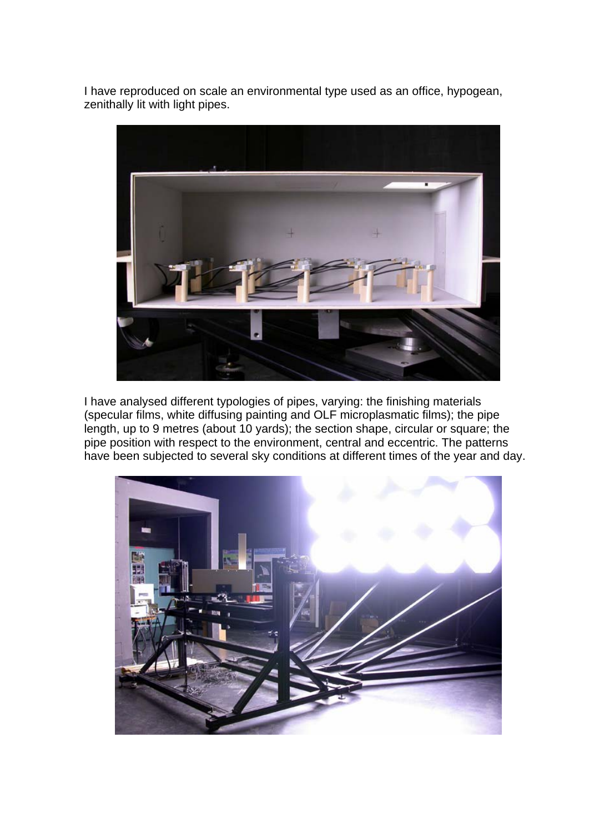I have reproduced on scale an environmental type used as an office, hypogean, zenithally lit with light pipes.



I have analysed different typologies of pipes, varying: the finishing materials (specular films, white diffusing painting and OLF microplasmatic films); the pipe length, up to 9 metres (about 10 yards); the section shape, circular or square; the pipe position with respect to the environment, central and eccentric. The patterns have been subjected to several sky conditions at different times of the year and day.